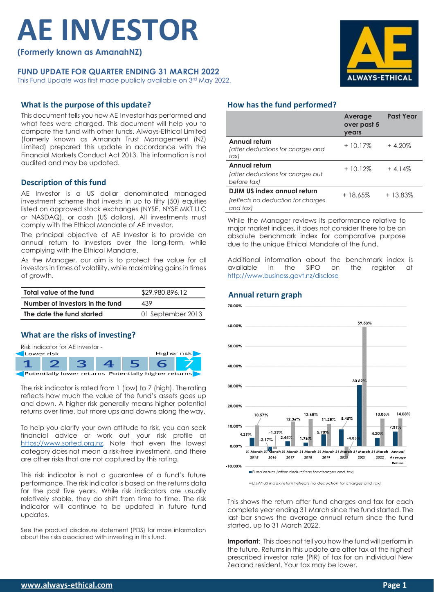# **AE INVESTOR**

**(Formerly known as AmanahNZ)**

## **FUND UPDATE FOR QUARTER ENDING 31 MARCH 2022**

This Fund Update was first made publicly available on 3rd May 2022.

# **What is the purpose of this update?**

This document tells you how AE Investor has performed and what fees were charged. This document will help you to compare the fund with other funds. Always-Ethical Limited (formerly known as Amanah Trust Management (NZ) Limited) prepared this update in accordance with the Financial Markets Conduct Act 2013. This information is not audited and may be updated.

## **Description of this fund**

AE Investor is a US dollar denominated managed investment scheme that invests in up to fifty (50) equities listed on approved stock exchanges (NYSE, NYSE MKT LLC or NASDAQ), or cash (US dollars). All investments must comply with the Ethical Mandate of AE Investor.

The principal objective of AE Investor is to provide an annual return to investors over the long-term, while complying with the Ethical Mandate.

As the Manager, our aim is to protect the value for all investors in times of volatility, while maximizing gains in times of growth.

| Total value of the fund         | \$29,980,896.12   |  |
|---------------------------------|-------------------|--|
| Number of investors in the fund | 439               |  |
| The date the fund started       | 01 September 2013 |  |

### **What are the risks of investing?**



The risk indicator is rated from 1 (low) to 7 (high). Therating reflects how much the value of the fund's assets goes up and down. A higher risk generally means higher potential returns over time, but more ups and downs along the way.

To help you clarify your own attitude to risk, you can seek financial advice or work out your risk profile at [https://www.sorted.org.nz.](https://www.sorted.org.nz/guides/kiwisaver-which-fund-suits) Note that even the lowest category does not mean a risk-free investment, and there are other risks that are not captured by this rating.

This risk indicator is not a guarantee of a fund's future performance. The risk indicator is based on the returns data for the past five years. While risk indicators are usually relatively stable, they do shift from time to time. The risk indicator will continue to be updated in future fund updates.

See the product disclosure statement (PDS) for more information about the risks associated with investing in this fund.



### **How has the fund performed?**

|                                                                               | <b>Average</b><br>over past 5<br>vears | <b>Past Year</b> |
|-------------------------------------------------------------------------------|----------------------------------------|------------------|
| Annual return<br>(after deductions for charges and<br>tax)                    | $+10.17%$                              | $+4.20%$         |
| Annual return<br>(after deductions for charges but<br>before tax)             | $+10.12%$                              | $+4.14%$         |
| DJIM US index annual return<br>(reflects no deduction for charges<br>and tax) | +18.65%                                | + 13.83%         |

While the Manager reviews its performance relative to major market indices, it does not consider there to be an absolute benchmark index for comparative purpose due to the unique Ethical Mandate of the fund.

Additional information about the benchmark index is<br>available in the SIPO on the reaister at available in the SIPO on the register at <http://www.business.govt.nz/disclose>

## **Annual return graph**



DJIM US index return (reflects no deduction for charges and tax)

This shows the return after fund charges and tax for each complete year ending 31 March since the fund started. The last bar shows the average annual return since the fund started, up to 31 March 2022.

**Important:** This does not tell you how the fund will perform in the future. Returns in this update are after tax at the highest prescribed investor rate (PIR) of tax for an individual New Zealand resident. Your tax may be lower.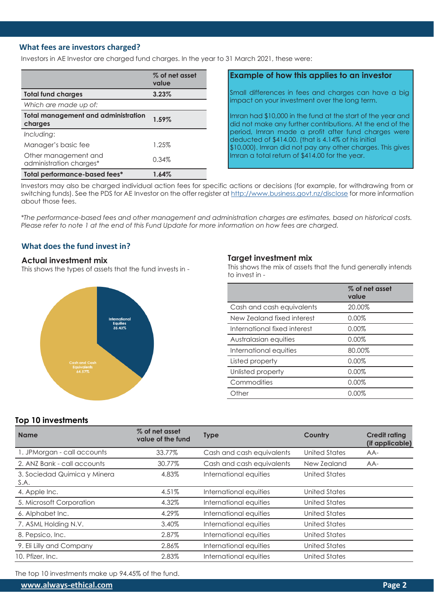## **What fees are investors charged?**

Investors in AE Investor are charged fund charges. In the year to 31 March 2021, these were:

|                                                       | % of net asset<br>value |
|-------------------------------------------------------|-------------------------|
| <b>Total fund charges</b>                             | 3.23%                   |
| Which are made up of:                                 |                         |
| <b>Total management and administration</b><br>charges | 1.59%                   |
| Including:                                            |                         |
| Manager's basic fee                                   | 1.25%                   |
| Other management and<br>administration charges*       | 0.34%                   |
| Total performance-based fees*                         | 1.64%                   |

## **Example of how this applies to an investor**

Small differences in fees and charges can have a big impact on your investment over the long term.

Imran had \$10,000 in the fund at the start of the year and did not make any further contributions. At the end of the period, Imran made a profit after fund charges were deducted of \$414.00. (that is 4.14% of his initial \$10,000). Imran did not pay any other charges. This gives Imran a total return of \$414.00 for the year.

Investors may also be charged individual action fees for specific actions or decisions (for example, for withdrawing from or switching funds). See the PDS for AE Investor on the offer register at <http://www.business.govt.nz/disclose> for more information about those fees.

*\*The performance-based fees and other management and administration charges are estimates, based on historical costs. Please refer to note 1 at the end of this Fund Update for more information on how fees are charged.*

# **What does the fund invest in?**

### **Actual investment mix**

This shows the types of assets that the fund invests in -



### **Target investment mix**

This shows the mix of assets that the fund generally intends to invest in -

|                              | % of net asset<br>value |
|------------------------------|-------------------------|
| Cash and cash equivalents    | 20.00%                  |
| New Zealand fixed interest   | 0.00%                   |
| International fixed interest | 0.00%                   |
| Australasian equities        | 0.00%                   |
| International equities       | 80.00%                  |
| Listed property              | 0.00%                   |
| Unlisted property            | 0.00%                   |
| Commodities                  | 0.00%                   |
| Other                        | $0.00\%$                |

### **Top 10 investments**

| <b>Name</b>                          | % of net asset<br>value of the fund | <b>Type</b>               | Country              | <b>Credit rating</b><br>(if applicable) |
|--------------------------------------|-------------------------------------|---------------------------|----------------------|-----------------------------------------|
| 1. JPMorgan - call accounts          | 33.77%                              | Cash and cash equivalents | <b>United States</b> | $AA-$                                   |
| 2. ANZ Bank - call accounts          | 30.77%                              | Cash and cash equivalents | New Zealand          | AA-                                     |
| 3. Sociedad Quimica y Minera<br>S.A. | 4.83%                               | International equities    | <b>United States</b> |                                         |
| 4. Apple Inc.                        | 4.51%                               | International equities    | <b>United States</b> |                                         |
| 5. Microsoft Corporation             | 4.32%                               | International equities    | <b>United States</b> |                                         |
| 6. Alphabet Inc.                     | 4.29%                               | International equities    | United States        |                                         |
| 7. ASML Holding N.V.                 | 3.40%                               | International equities    | United States        |                                         |
| 8. Pepsico, Inc.                     | 2.87%                               | International equities    | United States        |                                         |
| 9. Eli Lilly and Company             | 2.86%                               | International equities    | <b>United States</b> |                                         |
| 10. Pfizer, Inc.                     | 2.83%                               | International equities    | <b>United States</b> |                                         |

The top 10 investments make up 94.45% of the fund.

**[www.always-ethical.com](http://www.always-ethical.com/) Page 2**